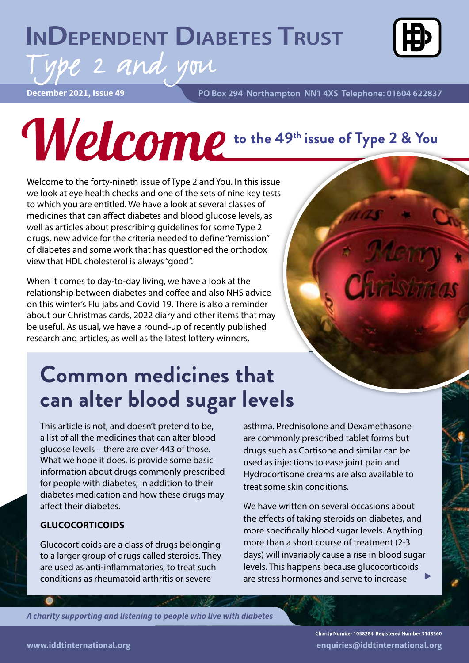## **INDEPENDENT DIABETES TRUST**



**December 2021, Issue 49**

PO Box 294 Northampton NN1 4XS Telephone: 01604 622837

# **Welcome** to the 49th issue of Type 2 & You

Welcome to the forty-nineth issue of Type 2 and You. In this issue we look at eye health checks and one of the sets of nine key tests to which you are entitled. We have a look at several classes of medicines that can affect diabetes and blood glucose levels, as well as articles about prescribing guidelines for some Type 2 drugs, new advice for the criteria needed to define "remission" of diabetes and some work that has questioned the orthodox view that HDL cholesterol is always "good".

ype 2 and you

When it comes to day-to-day living, we have a look at the relationship between diabetes and coffee and also NHS advice on this winter's Flu jabs and Covid 19. There is also a reminder about our Christmas cards, 2022 diary and other items that may be useful. As usual, we have a round-up of recently published research and articles, as well as the latest lottery winners.

## **Common medicines that can alter blood sugar levels**

This article is not, and doesn't pretend to be, a list of all the medicines that can alter blood glucose levels – there are over 443 of those. What we hope it does, is provide some basic information about drugs commonly prescribed for people with diabetes, in addition to their diabetes medication and how these drugs may affect their diabetes.

#### **GLUCOCORTICOIDS**

Glucocorticoids are a class of drugs belonging to a larger group of drugs called steroids. They are used as anti-inflammatories, to treat such conditions as rheumatoid arthritis or severe

asthma. Prednisolone and Dexamethasone are commonly prescribed tablet forms but drugs such as Cortisone and similar can be used as injections to ease joint pain and Hydrocortisone creams are also available to treat some skin conditions.

We have written on several occasions about the effects of taking steroids on diabetes, and more specifically blood sugar levels. Anything more than a short course of treatment (2-3 days) will invariably cause a rise in blood sugar levels. This happens because glucocorticoids are stress hormones and serve to increase

*A charity supporting and listening to people who live with diabetes*

Charity Number 1058284 Registered Number 3148360 **www.iddtinternational.org enquiries@iddtinternational.org**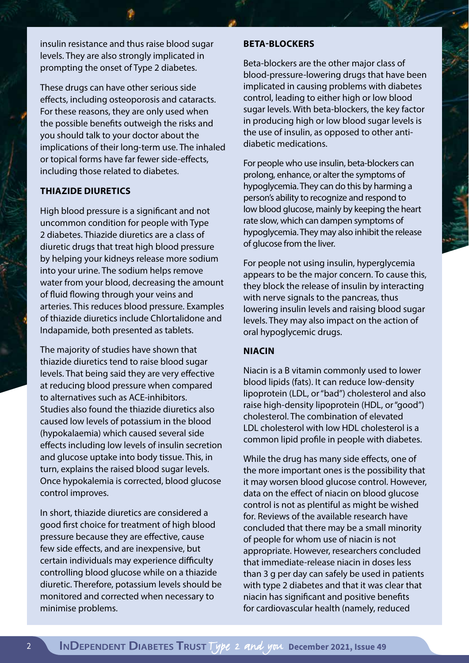insulin resistance and thus raise blood sugar levels. They are also strongly implicated in prompting the onset of Type 2 diabetes.

These drugs can have other serious side effects, including osteoporosis and cataracts. For these reasons, they are only used when the possible benefits outweigh the risks and you should talk to your doctor about the implications of their long-term use. The inhaled or topical forms have far fewer side-effects, including those related to diabetes.

#### **THIAZIDE DIURETICS**

High blood pressure is a significant and not uncommon condition for people with Type 2 diabetes. Thiazide diuretics are a class of diuretic drugs that treat high blood pressure by helping your kidneys release more sodium into your urine. The sodium helps remove water from your blood, decreasing the amount of fluid flowing through your veins and arteries. This reduces blood pressure. Examples of thiazide diuretics include Chlortalidone and Indapamide, both presented as tablets.

The majority of studies have shown that thiazide diuretics tend to raise blood sugar levels. That being said they are very effective at reducing blood pressure when compared to alternatives such as ACE-inhibitors. Studies also found the thiazide diuretics also caused low levels of potassium in the blood (hypokalaemia) which caused several side effects including low levels of insulin secretion and glucose uptake into body tissue. This, in turn, explains the raised blood sugar levels. Once hypokalemia is corrected, blood glucose control improves.

In short, thiazide diuretics are considered a good first choice for treatment of high blood pressure because they are effective, cause few side effects, and are inexpensive, but certain individuals may experience difficulty controlling blood glucose while on a thiazide diuretic. Therefore, potassium levels should be monitored and corrected when necessary to minimise problems.

#### **BETA-BLOCKERS**

Beta-blockers are the other major class of blood-pressure-lowering drugs that have been implicated in causing problems with diabetes control, leading to either high or low blood sugar levels. With beta-blockers, the key factor in producing high or low blood sugar levels is the use of insulin, as opposed to other antidiabetic medications.

For people who use insulin, beta-blockers can prolong, enhance, or alter the symptoms of hypoglycemia. They can do this by harming a person's ability to recognize and respond to low blood glucose, mainly by keeping the heart rate slow, which can dampen symptoms of hypoglycemia. They may also inhibit the release of glucose from the liver.

For people not using insulin, hyperglycemia appears to be the major concern. To cause this, they block the release of insulin by interacting with nerve signals to the pancreas, thus lowering insulin levels and raising blood sugar levels. They may also impact on the action of oral hypoglycemic drugs.

#### **NIACIN**

Niacin is a B vitamin commonly used to lower blood lipids (fats). It can reduce low-density lipoprotein (LDL, or "bad") cholesterol and also raise high-density lipoprotein (HDL, or "good") cholesterol. The combination of elevated LDL cholesterol with low HDL cholesterol is a common lipid profile in people with diabetes.

While the drug has many side effects, one of the more important ones is the possibility that it may worsen blood glucose control. However, data on the effect of niacin on blood glucose control is not as plentiful as might be wished for. Reviews of the available research have concluded that there may be a small minority of people for whom use of niacin is not appropriate. However, researchers concluded that immediate-release niacin in doses less than 3 g per day can safely be used in patients with type 2 diabetes and that it was clear that niacin has significant and positive benefits for cardiovascular health (namely, reduced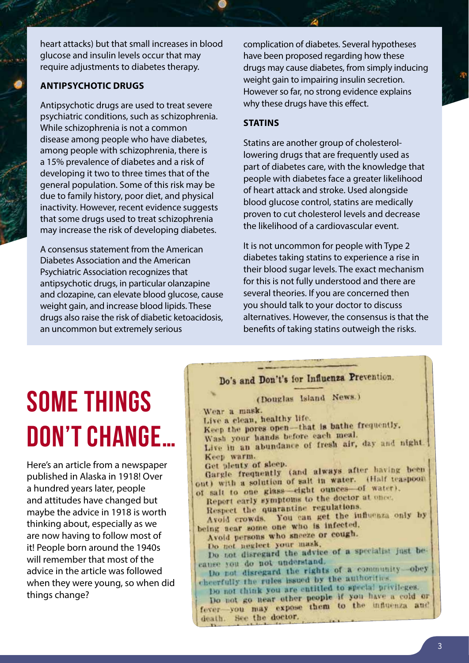heart attacks) but that small increases in blood glucose and insulin levels occur that may require adjustments to diabetes therapy.

#### **ANTIPSYCHOTIC DRUGS**

Antipsychotic drugs are used to treat severe psychiatric conditions, such as schizophrenia. While schizophrenia is not a common disease among people who have diabetes, among people with schizophrenia, there is a 15% prevalence of diabetes and a risk of developing it two to three times that of the general population. Some of this risk may be due to family history, poor diet, and physical inactivity. However, recent evidence suggests that some drugs used to treat schizophrenia may increase the risk of developing diabetes.

A consensus statement from the American Diabetes Association and the American Psychiatric Association recognizes that antipsychotic drugs, in particular olanzapine and clozapine, can elevate blood glucose, cause weight gain, and increase blood lipids. These drugs also raise the risk of diabetic ketoacidosis, an uncommon but extremely serious

complication of diabetes. Several hypotheses have been proposed regarding how these drugs may cause diabetes, from simply inducing weight gain to impairing insulin secretion. However so far, no strong evidence explains why these drugs have this effect.

#### **STATINS**

Statins are another group of cholesterollowering drugs that are frequently used as part of diabetes care, with the knowledge that people with diabetes face a greater likelihood of heart attack and stroke. Used alongside blood glucose control, statins are medically proven to cut cholesterol levels and decrease the likelihood of a cardiovascular event.

It is not uncommon for people with Type 2 diabetes taking statins to experience a rise in their blood sugar levels. The exact mechanism for this is not fully understood and there are several theories. If you are concerned then you should talk to your doctor to discuss alternatives. However, the consensus is that the benefits of taking statins outweigh the risks.

## **SOME THINGS DON'T CHANGE…**

Here's an article from a newspaper published in Alaska in 1918! Over a hundred years later, people and attitudes have changed but maybe the advice in 1918 is worth thinking about, especially as we are now having to follow most of it! People born around the 1940s will remember that most of the advice in the article was followed when they were young, so when did things change?

#### Do's and Don't's for Influenza Prevention.

(Douglas Island News.)

Wear a mask.

Live a clean, healthy life.

Live a clean, nearing that is bathe frequently.

Wash your hands before each meal.

Wash your hands before each mean.<br>Live in an abundance of fresh air, day and night. Keep warm.

Get plenty of sleep.

Get plenty of sleep.<br>Gargie frequently (and always after having been Gargle frequently tand aways ex. (Half teaspoon out) with a solution of said in haces of water).

Report early symptoms to the doctor at once.

Respect the quarantine regulations.

Respect the quarantine regularity the influenza only by being near some one who is infected.

Avoid persons who sneeze or cough.

Do not neglect your mask.

Do not neglect your mass, cause you do not understand.

Do not disregard the rights of a community-obey Do not disregard the subset by the authorities

the rules issued to special privileges.

Do not go near other people if you have a cold or Do not go near other people in the influenza and death. See the doctor.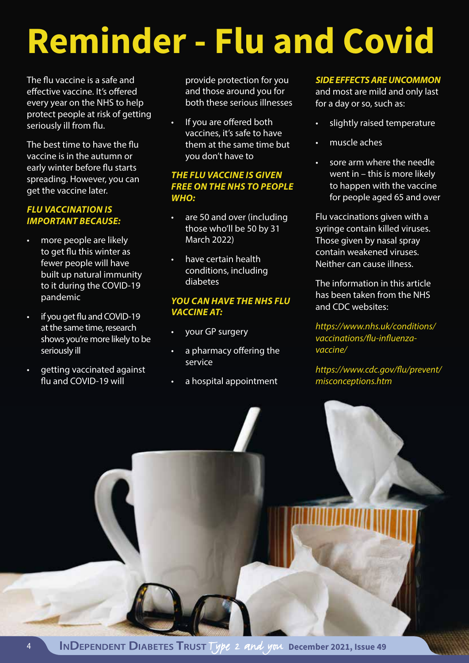## **Reminder - Flu and Covid**

The flu vaccine is a safe and effective vaccine. It's offered every year on the NHS to help protect people at risk of getting seriously ill from flu.

The best time to have the flu vaccine is in the autumn or early winter before flu starts spreading. However, you can get the vaccine later.

#### *FLU VACCINATION IS IMPORTANT BECAUSE:*

- more people are likely to get flu this winter as fewer people will have built up natural immunity to it during the COVID-19 pandemic
- if you get flu and COVID-19 at the same time, research shows you're more likely to be seriously ill
- getting vaccinated against flu and COVID-19 will

provide protection for you and those around you for both these serious illnesses

If you are offered both vaccines, it's safe to have them at the same time but you don't have to

#### *THE FLU VACCINE IS GIVEN FREE ON THE NHS TO PEOPLE WHO:*

- are 50 and over (including those who'll be 50 by 31 March 2022)
- have certain health conditions, including diabetes

#### *YOU CAN HAVE THE NHS FLU VACCINE AT:*

- your GP surgery
- a pharmacy offering the service
- a hospital appointment

#### *SIDE EFFECTS ARE UNCOMMON*

and most are mild and only last for a day or so, such as:

- slightly raised temperature
- muscle aches
- sore arm where the needle went in – this is more likely to happen with the vaccine for people aged 65 and over

Flu vaccinations given with a syringe contain killed viruses. Those given by nasal spray contain weakened viruses. Neither can cause illness.

The information in this article has been taken from the NHS and CDC websites:

*https://www.nhs.uk/conditions/ vaccinations/flu-influenzavaccine/*

*https://www.cdc.gov/flu/prevent/ misconceptions.htm*

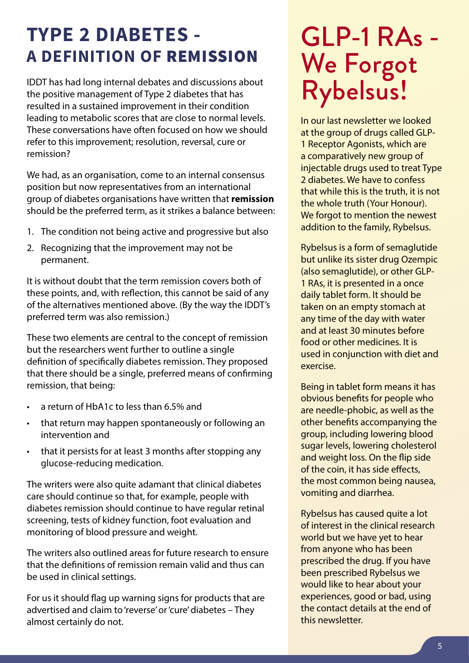## **TYPE 2 DIABETES - A DEFINITION OF** REMISSION

IDDT has had long internal debates and discussions about the positive management of Type 2 diabetes that has resulted in a sustained improvement in their condition leading to metabolic scores that are close to normal levels. These conversations have often focused on how we should refer to this improvement; resolution, reversal, cure or remission?

We had, as an organisation, come to an internal consensus position but now representatives from an international group of diabetes organisations have written that **remission** should be the preferred term, as it strikes a balance between:

- 1. The condition not being active and progressive but also
- 2. Recognizing that the improvement may not be permanent.

It is without doubt that the term remission covers both of these points, and, with reflection, this cannot be said of any of the alternatives mentioned above. (By the way the IDDT's preferred term was also remission.)

These two elements are central to the concept of remission but the researchers went further to outline a single definition of specifically diabetes remission. They proposed that there should be a single, preferred means of confirming remission, that being:

- a return of HbA1c to less than 6.5% and
- that return may happen spontaneously or following an intervention and
- that it persists for at least 3 months after stopping any glucose-reducing medication.

The writers were also quite adamant that clinical diabetes care should continue so that, for example, people with diabetes remission should continue to have regular retinal screening, tests of kidney function, foot evaluation and monitoring of blood pressure and weight.

The writers also outlined areas for future research to ensure that the definitions of remission remain valid and thus can be used in clinical settings.

For us it should flag up warning signs for products that are advertised and claim to 'reverse' or 'cure' diabetes – They almost certainly do not.

## GLP-1 RAs - We Forgot Rybelsus!

In our last newsletter we looked at the group of drugs called GLP-1 Receptor Agonists, which are a comparatively new group of injectable drugs used to treat Type 2 diabetes. We have to confess that while this is the truth, it is not the whole truth (Your Honour). We forgot to mention the newest addition to the family, Rybelsus.

Rybelsus is a form of semaglutide but unlike its sister drug Ozempic (also semaglutide), or other GLP-1 RAs, it is presented in a once daily tablet form. It should be taken on an empty stomach at any time of the day with water and at least 30 minutes before food or other medicines. It is used in conjunction with diet and exercise.

Being in tablet form means it has obvious benefits for people who are needle-phobic, as well as the other benefits accompanying the group, including lowering blood sugar levels, lowering cholesterol and weight loss. On the flip side of the coin, it has side effects, the most common being nausea, vomiting and diarrhea.

Rybelsus has caused quite a lot of interest in the clinical research world but we have yet to hear from anyone who has been prescribed the drug. If you have been prescribed Rybelsus we would like to hear about your experiences, good or bad, using the contact details at the end of this newsletter.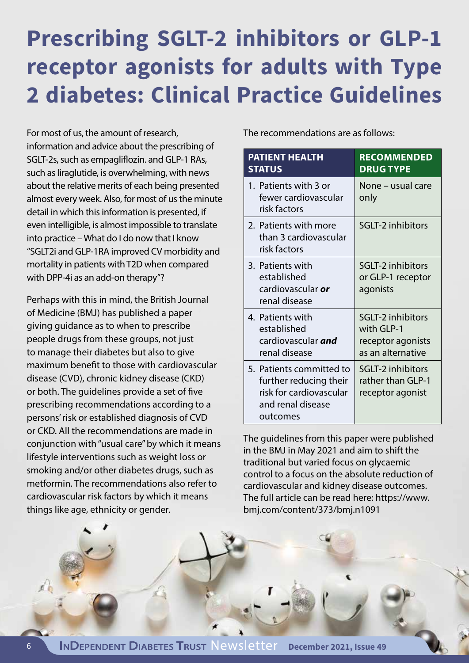## **Prescribing SGLT-2 inhibitors or GLP-1 receptor agonists for adults with Type 2 diabetes: Clinical Practice Guidelines**

For most of us, the amount of research, information and advice about the prescribing of SGLT-2s, such as empagliflozin. and GLP-1 RAs, such as liraglutide, is overwhelming, with news about the relative merits of each being presented almost every week. Also, for most of us the minute detail in which this information is presented, if even intelligible, is almost impossible to translate into practice – What do I do now that I know "SGLT2i and GLP-1RA improved CV morbidity and mortality in patients with T2D when compared with DPP-4i as an add-on therapy"?

Perhaps with this in mind, the British Journal of Medicine (BMJ) has published a paper giving guidance as to when to prescribe people drugs from these groups, not just to manage their diabetes but also to give maximum benefit to those with cardiovascular disease (CVD), chronic kidney disease (CKD) or both. The guidelines provide a set of five prescribing recommendations according to a persons' risk or established diagnosis of CVD or CKD. All the recommendations are made in conjunction with "usual care" by which it means lifestyle interventions such as weight loss or smoking and/or other diabetes drugs, such as metformin. The recommendations also refer to cardiovascular risk factors by which it means things like age, ethnicity or gender.

The recommendations are as follows:

| <b>PATIENT HEALTH</b><br><b>STATUS</b>                                                                         | <b>RECOMMENDED</b><br><b>DRUG TYPE</b>                                           |
|----------------------------------------------------------------------------------------------------------------|----------------------------------------------------------------------------------|
| 1. Patients with 3 or<br>fewer cardiovascular<br>risk factors                                                  | None – usual care<br>only                                                        |
| 2. Patients with more<br>than 3 cardiovascular<br>risk factors                                                 | <b>SGLT-2 inhibitors</b>                                                         |
| 3. Patients with<br>established<br>cardiovascular or<br>renal disease                                          | <b>SGLT-2 inhibitors</b><br>or GLP-1 receptor<br>agonists                        |
| 4. Patients with<br>established<br>cardiovascular <b>and</b><br>renal disease                                  | <b>SGLT-2 inhibitors</b><br>with GLP-1<br>receptor agonists<br>as an alternative |
| 5. Patients committed to<br>further reducing their<br>risk for cardiovascular<br>and renal disease<br>outcomes | <b>SGLT-2 inhibitors</b><br>rather than GLP-1<br>receptor agonist                |

The guidelines from this paper were published in the BMJ in May 2021 and aim to shift the traditional but varied focus on glycaemic control to a focus on the absolute reduction of cardiovascular and kidney disease outcomes. The full article can be read here: https://www. bmj.com/content/373/bmj.n1091

 $\theta$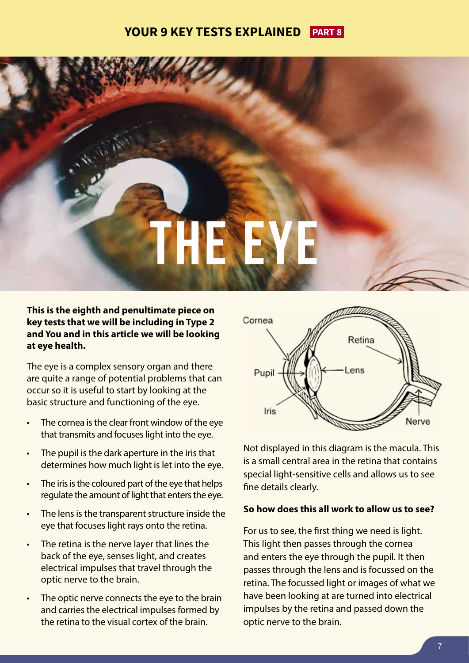#### **YOUR 9 KEY TESTS EXPLAINED PART 8**



**This is the eighth and penultimate piece on key tests that we will be including in Type 2 and You and in this article we will be looking at eye health.** 

The eye is a complex sensory organ and there are quite a range of potential problems that can occur so it is useful to start by looking at the basic structure and functioning of the eye.

- The cornea is the clear front window of the eye that transmits and focuses light into the eye.
- The pupil is the dark aperture in the iris that determines how much light is let into the eye.
- The iris is the coloured part of the eye that helps regulate the amount of light that enters the eye.
- The lens is the transparent structure inside the eye that focuses light rays onto the retina.
- The retina is the nerve layer that lines the back of the eye, senses light, and creates electrical impulses that travel through the optic nerve to the brain.
- The optic nerve connects the eye to the brain and carries the electrical impulses formed by the retina to the visual cortex of the brain.



Not displayed in this diagram is the macula. This is a small central area in the retina that contains special light-sensitive cells and allows us to see fine details clearly.

#### **So how does this all work to allow us to see?**

For us to see, the first thing we need is light. This light then passes through the cornea and enters the eye through the pupil. It then passes through the lens and is focussed on the retina. The focussed light or images of what we have been looking at are turned into electrical impulses by the retina and passed down the optic nerve to the brain.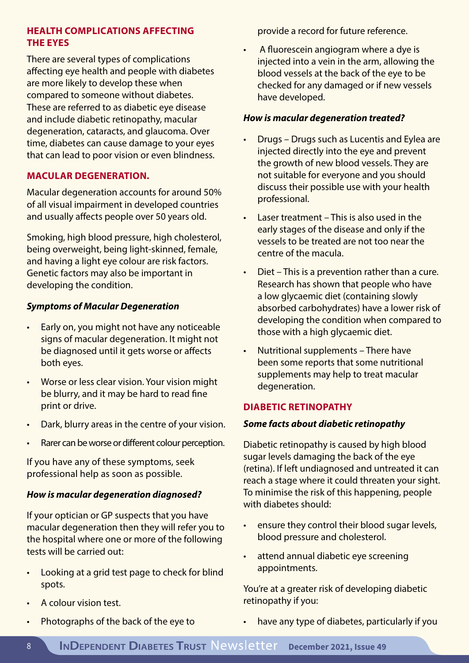#### **HEALTH COMPLICATIONS AFFECTING THE EYES**

There are several types of complications affecting eye health and people with diabetes are more likely to develop these when compared to someone without diabetes. These are referred to as diabetic eye disease and include diabetic retinopathy, macular degeneration, cataracts, and glaucoma. Over time, diabetes can cause damage to your eyes that can lead to poor vision or even blindness.

#### **MACULAR DEGENERATION.**

Macular degeneration accounts for around 50% of all visual impairment in developed countries and usually affects people over 50 years old.

Smoking, high blood pressure, high cholesterol, being overweight, being light-skinned, female, and having a light eye colour are risk factors. Genetic factors may also be important in developing the condition.

#### *Symptoms of Macular Degeneration*

- Early on, you might not have any noticeable signs of macular degeneration. It might not be diagnosed until it gets worse or affects both eyes.
- Worse or less clear vision. Your vision might be blurry, and it may be hard to read fine print or drive.
- Dark, blurry areas in the centre of your vision.
- Rarer can be worse or different colour perception.

If you have any of these symptoms, seek professional help as soon as possible.

#### *How is macular degeneration diagnosed?*

If your optician or GP suspects that you have macular degeneration then they will refer you to the hospital where one or more of the following tests will be carried out:

- Looking at a grid test page to check for blind spots.
- A colour vision test.
- Photographs of the back of the eye to

provide a record for future reference.

• A fluorescein angiogram where a dye is injected into a vein in the arm, allowing the blood vessels at the back of the eye to be checked for any damaged or if new vessels have developed.

#### *How is macular degeneration treated?*

- Drugs Drugs such as Lucentis and Eylea are injected directly into the eye and prevent the growth of new blood vessels. They are not suitable for everyone and you should discuss their possible use with your health professional.
- Laser treatment This is also used in the early stages of the disease and only if the vessels to be treated are not too near the centre of the macula.
- Diet This is a prevention rather than a cure. Research has shown that people who have a low glycaemic diet (containing slowly absorbed carbohydrates) have a lower risk of developing the condition when compared to those with a high glycaemic diet.
- Nutritional supplements There have been some reports that some nutritional supplements may help to treat macular degeneration.

#### **DIABETIC RETINOPATHY**

#### *Some facts about diabetic retinopathy*

Diabetic retinopathy is caused by high blood sugar levels damaging the back of the eye (retina). If left undiagnosed and untreated it can reach a stage where it could threaten your sight. To minimise the risk of this happening, people with diabetes should:

- ensure they control their blood sugar levels, blood pressure and cholesterol.
- attend annual diabetic eye screening appointments.

You're at a greater risk of developing diabetic retinopathy if you:

have any type of diabetes, particularly if you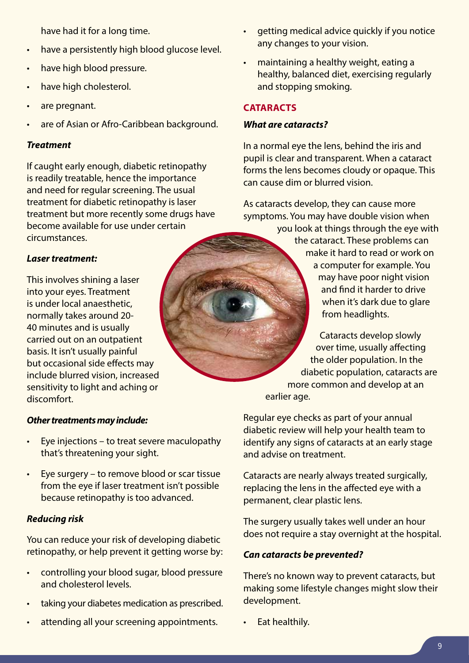have had it for a long time.

- have a persistently high blood glucose level.
- have high blood pressure.
- have high cholesterol.
- are pregnant.
- are of Asian or Afro-Caribbean background.

#### *Treatment*

If caught early enough, diabetic retinopathy is readily treatable, hence the importance and need for regular screening. The usual treatment for diabetic retinopathy is laser treatment but more recently some drugs have become available for use under certain circumstances.

#### *Laser treatment:*

This involves shining a laser into your eyes. Treatment is under local anaesthetic, normally takes around 20- 40 minutes and is usually carried out on an outpatient basis. It isn't usually painful but occasional side effects may include blurred vision, increased sensitivity to light and aching or discomfort.

#### *Other treatments may include:*

- Eye injections to treat severe maculopathy that's threatening your sight.
- Eye surgery to remove blood or scar tissue from the eye if laser treatment isn't possible because retinopathy is too advanced.

#### *Reducing risk*

You can reduce your risk of developing diabetic retinopathy, or help prevent it getting worse by:

- controlling your blood sugar, blood pressure and cholesterol levels.
- taking your diabetes medication as prescribed.
- attending all your screening appointments.
- getting medical advice quickly if you notice any changes to your vision.
- maintaining a healthy weight, eating a healthy, balanced diet, exercising regularly and stopping smoking.

#### **CATARACTS**

#### *What are cataracts?*

In a normal eye the lens, behind the iris and pupil is clear and transparent. When a cataract forms the lens becomes cloudy or opaque. This can cause dim or blurred vision.

As cataracts develop, they can cause more symptoms. You may have double vision when

you look at things through the eye with the cataract. These problems can make it hard to read or work on a computer for example. You may have poor night vision and find it harder to drive when it's dark due to glare from headlights.

Cataracts develop slowly over time, usually affecting the older population. In the diabetic population, cataracts are more common and develop at an earlier age.

Regular eye checks as part of your annual diabetic review will help your health team to identify any signs of cataracts at an early stage and advise on treatment.

Cataracts are nearly always treated surgically, replacing the lens in the affected eye with a permanent, clear plastic lens.

The surgery usually takes well under an hour does not require a stay overnight at the hospital.

#### *Can cataracts be prevented?*

There's no known way to prevent cataracts, but making some lifestyle changes might slow their development.

• Eat healthily.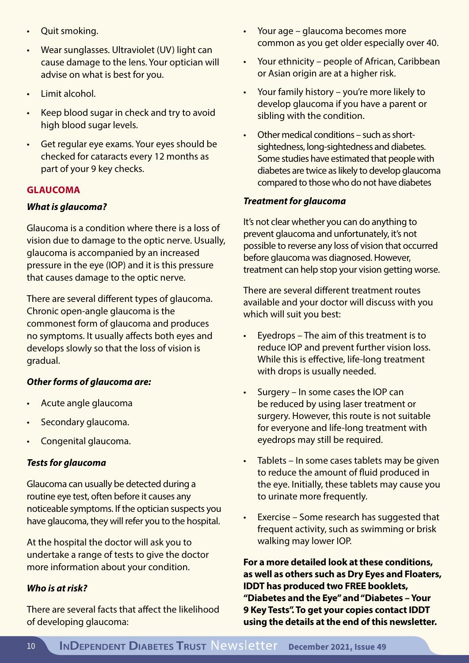- Quit smoking.
- Wear sunglasses. Ultraviolet (UV) light can cause damage to the lens. Your optician will advise on what is best for you.
- Limit alcohol.
- Keep blood sugar in check and try to avoid high blood sugar levels.
- Get regular eye exams. Your eyes should be checked for cataracts every 12 months as part of your 9 key checks.

#### **GLAUCOMA**

#### *What is glaucoma?*

Glaucoma is a condition where there is a loss of vision due to damage to the optic nerve. Usually, glaucoma is accompanied by an increased pressure in the eye (IOP) and it is this pressure that causes damage to the optic nerve.

There are several different types of glaucoma. Chronic open-angle glaucoma is the commonest form of glaucoma and produces no symptoms. It usually affects both eyes and develops slowly so that the loss of vision is gradual.

#### *Other forms of glaucoma are:*

- Acute angle glaucoma
- Secondary glaucoma.
- Congenital glaucoma.

#### *Tests for glaucoma*

Glaucoma can usually be detected during a routine eye test, often before it causes any noticeable symptoms. If the optician suspects you have glaucoma, they will refer you to the hospital.

At the hospital the doctor will ask you to undertake a range of tests to give the doctor more information about your condition.

#### *Who is at risk?*

There are several facts that affect the likelihood of developing glaucoma:

- Your age glaucoma becomes more common as you get older especially over 40.
- Your ethnicity people of African, Caribbean or Asian origin are at a higher risk.
- Your family history you're more likely to develop glaucoma if you have a parent or sibling with the condition.
- Other medical conditions such as shortsightedness, long-sightedness and diabetes. Some studies have estimated that people with diabetes are twice as likely to develop glaucoma compared to those who do not have diabetes

#### *Treatment for glaucoma*

It's not clear whether you can do anything to prevent glaucoma and unfortunately, it's not possible to reverse any loss of vision that occurred before glaucoma was diagnosed. However, treatment can help stop your vision getting worse.

There are several different treatment routes available and your doctor will discuss with you which will suit you best:

- Eyedrops The aim of this treatment is to reduce IOP and prevent further vision loss. While this is effective, life-long treatment with drops is usually needed.
- Surgery In some cases the IOP can be reduced by using laser treatment or surgery. However, this route is not suitable for everyone and life-long treatment with eyedrops may still be required.
- Tablets In some cases tablets may be given to reduce the amount of fluid produced in the eye. Initially, these tablets may cause you to urinate more frequently.
- Exercise Some research has suggested that frequent activity, such as swimming or brisk walking may lower IOP.

**For a more detailed look at these conditions, as well as others such as Dry Eyes and Floaters, IDDT has produced two FREE booklets, "Diabetes and the Eye" and "Diabetes – Your 9 Key Tests". To get your copies contact IDDT using the details at the end of this newsletter.**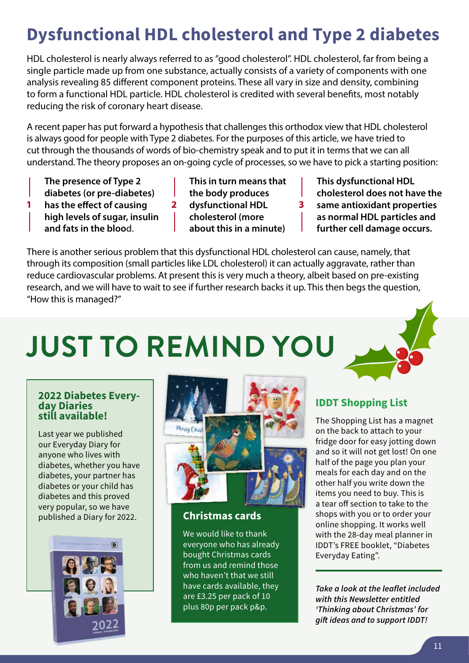## **Dysfunctional HDL cholesterol and Type 2 diabetes**

HDL cholesterol is nearly always referred to as "good cholesterol". HDL cholesterol, far from being a single particle made up from one substance, actually consists of a variety of components with one analysis revealing 85 different component proteins. These all vary in size and density, combining to form a functional HDL particle. HDL cholesterol is credited with several benefits, most notably reducing the risk of coronary heart disease.

A recent paper has put forward a hypothesis that challenges this orthodox view that HDL cholesterol is always good for people with Type 2 diabetes. For the purposes of this article, we have tried to cut through the thousands of words of bio-chemistry speak and to put it in terms that we can all understand. The theory proposes an on-going cycle of processes, so we have to pick a starting position:

- **The presence of Type 2**
- **diabetes (or pre-diabetes)**
- **1** has the effect of causing **2** dysfunctional HDL **3** 
	- **high levels of sugar, insulin**
	- **and fats in the bloo**d.

**This in turn means that the body produces dysfunctional HDL** 

- 
- **cholesterol (more**
- **about this in a minute)**

**This dysfunctional HDL cholesterol does not have the same antioxidant properties as normal HDL particles and further cell damage occurs.**

There is another serious problem that this dysfunctional HDL cholesterol can cause, namely, that through its composition (small particles like LDL cholesterol) it can actually aggravate, rather than reduce cardiovascular problems. At present this is very much a theory, albeit based on pre-existing research, and we will have to wait to see if further research backs it up. This then begs the question, "How this is managed?"

## **JUST TO REMIND YOU**



Last year we published our Everyday Diary for anyone who lives with diabetes, whether you have diabetes, your partner has diabetes or your child has diabetes and this proved very popular, so we have published a Diary for 2022.





#### **Christmas cards**

We would like to thank everyone who has already bought Christmas cards from us and remind those who haven't that we still have cards available, they are £3.25 per pack of 10 plus 80p per pack p&p.

**IDDT Shopping List** 

The Shopping List has a magnet on the back to attach to your fridge door for easy jotting down and so it will not get lost! On one half of the page you plan your meals for each day and on the other half you write down the items you need to buy. This is a tear off section to take to the shops with you or to order your online shopping. It works well with the 28-day meal planner in IDDT's FREE booklet, "Diabetes Everyday Eating".

*Take a look at the leaflet included with this Newsletter entitled 'Thinking about Christmas' for gift ideas and to support IDDT!*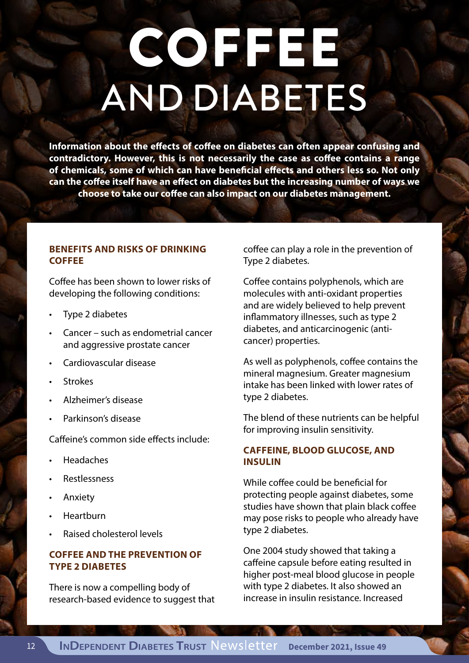## **COFFEE** AND DIABETES

**Information about the effects of coffee on diabetes can often appear confusing and contradictory. However, this is not necessarily the case as coffee contains a range of chemicals, some of which can have beneficial effects and others less so. Not only can the coffee itself have an effect on diabetes but the increasing number of ways we choose to take our coffee can also impact on our diabetes management.**

#### **BENEFITS AND RISKS OF DRINKING COFFEE**

Coffee has been shown to lower risks of developing the following conditions:

- Type 2 diabetes
- Cancer such as endometrial cancer and aggressive prostate cancer
- Cardiovascular disease
- **Strokes**
- Alzheimer's disease
- Parkinson's disease

Caffeine's common side effects include:

- Headaches
- Restlessness
- Anxiety
- **Heartburn**
- Raised cholesterol levels

#### **COFFEE AND THE PREVENTION OF TYPE 2 DIABETES**

There is now a compelling body of research-based evidence to suggest that coffee can play a role in the prevention of Type 2 diabetes.

Coffee contains polyphenols, which are molecules with anti-oxidant properties and are widely believed to help prevent inflammatory illnesses, such as type 2 diabetes, and anticarcinogenic (anticancer) properties.

As well as polyphenols, coffee contains the mineral magnesium. Greater magnesium intake has been linked with lower rates of type 2 diabetes.

The blend of these nutrients can be helpful for improving insulin sensitivity.

#### **CAFFEINE, BLOOD GLUCOSE, AND INSULIN**

While coffee could be beneficial for protecting people against diabetes, some studies have shown that plain black coffee may pose risks to people who already have type 2 diabetes.

One 2004 study showed that taking a caffeine capsule before eating resulted in higher post-meal blood glucose in people with type 2 diabetes. It also showed an increase in insulin resistance. Increased

**THE REAL PROPERTY**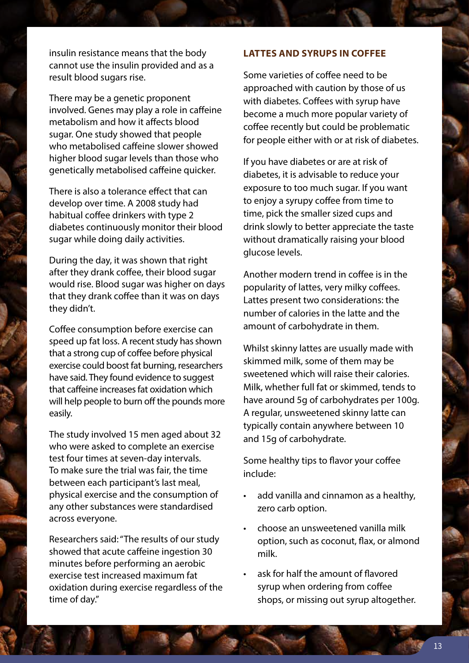insulin resistance means that the body cannot use the insulin provided and as a result blood sugars rise.

There may be a genetic proponent involved. Genes may play a role in caffeine metabolism and how it affects blood sugar. One study showed that people who metabolised caffeine slower showed higher blood sugar levels than those who genetically metabolised caffeine quicker.

There is also a tolerance effect that can develop over time. A 2008 study had habitual coffee drinkers with type 2 diabetes continuously monitor their blood sugar while doing daily activities.

During the day, it was shown that right after they drank coffee, their blood sugar would rise. Blood sugar was higher on days that they drank coffee than it was on days they didn't.

Coffee consumption before exercise can speed up fat loss. A recent study has shown that a strong cup of coffee before physical exercise could boost fat burning, researchers have said. They found evidence to suggest that caffeine increases fat oxidation which will help people to burn off the pounds more easily.

The study involved 15 men aged about 32 who were asked to complete an exercise test four times at seven-day intervals. To make sure the trial was fair, the time between each participant's last meal, physical exercise and the consumption of any other substances were standardised across everyone.

Researchers said: "The results of our study showed that acute caffeine ingestion 30 minutes before performing an aerobic exercise test increased maximum fat oxidation during exercise regardless of the time of day."

#### **LATTES AND SYRUPS IN COFFEE**

Some varieties of coffee need to be approached with caution by those of us with diabetes. Coffees with syrup have become a much more popular variety of coffee recently but could be problematic for people either with or at risk of diabetes.

If you have diabetes or are at risk of diabetes, it is advisable to reduce your exposure to too much sugar. If you want to enjoy a syrupy coffee from time to time, pick the smaller sized cups and drink slowly to better appreciate the taste without dramatically raising your blood glucose levels.

Another modern trend in coffee is in the popularity of lattes, very milky coffees. Lattes present two considerations: the number of calories in the latte and the amount of carbohydrate in them.

Whilst skinny lattes are usually made with skimmed milk, some of them may be sweetened which will raise their calories. Milk, whether full fat or skimmed, tends to have around 5g of carbohydrates per 100g. A regular, unsweetened skinny latte can typically contain anywhere between 10 and 15g of carbohydrate.

Some healthy tips to flavor your coffee include:

- add vanilla and cinnamon as a healthy, zero carb option.
- choose an unsweetened vanilla milk option, such as coconut, flax, or almond milk.
- ask for half the amount of flavored syrup when ordering from coffee shops, or missing out syrup altogether.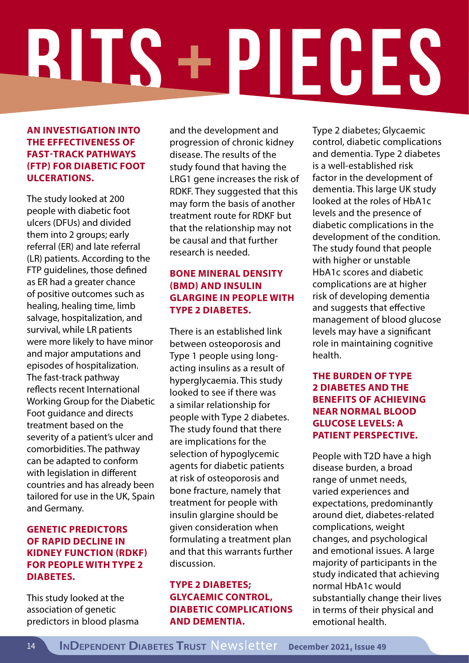# **BITS + PIECES**

#### **AN INVESTIGATION INTO THE EFFECTIVENESS OF FAST-TRACK PATHWAYS (FTP) FOR DIABETIC FOOT ULCERATIONS.**

The study looked at 200 people with diabetic foot ulcers (DFUs) and divided them into 2 groups; early referral (ER) and late referral (LR) patients. According to the FTP guidelines, those defined as ER had a greater chance of positive outcomes such as healing, healing time, limb salvage, hospitalization, and survival, while LR patients were more likely to have minor and major amputations and episodes of hospitalization. The fast-track pathway reflects recent International Working Group for the Diabetic Foot guidance and directs treatment based on the severity of a patient's ulcer and comorbidities. The pathway can be adapted to conform with legislation in different countries and has already been tailored for use in the UK, Spain and Germany.

#### **GENETIC PREDICTORS OF RAPID DECLINE IN KIDNEY FUNCTION (RDKF) FOR PEOPLE WITH TYPE 2 DIABETES.**

This study looked at the association of genetic predictors in blood plasma and the development and progression of chronic kidney disease. The results of the study found that having the LRG1 gene increases the risk of RDKF. They suggested that this may form the basis of another treatment route for RDKF but that the relationship may not be causal and that further research is needed.

#### **BONE MINERAL DENSITY (BMD) AND INSULIN GLARGINE IN PEOPLE WITH TYPE 2 DIABETES.**

There is an established link between osteoporosis and Type 1 people using longacting insulins as a result of hyperglycaemia. This study looked to see if there was a similar relationship for people with Type 2 diabetes. The study found that there are implications for the selection of hypoglycemic agents for diabetic patients at risk of osteoporosis and bone fracture, namely that treatment for people with insulin glargine should be given consideration when formulating a treatment plan and that this warrants further discussion.

#### **TYPE 2 DIABETES; GLYCAEMIC CONTROL, DIABETIC COMPLICATIONS AND DEMENTIA.**

Type 2 diabetes; Glycaemic control, diabetic complications and dementia. Type 2 diabetes is a well-established risk factor in the development of dementia. This large UK study looked at the roles of HbA1c levels and the presence of diabetic complications in the development of the condition. The study found that people with higher or unstable HbA1c scores and diabetic complications are at higher risk of developing dementia and suggests that effective management of blood glucose levels may have a significant role in maintaining cognitive health.

#### **THE BURDEN OF TYPE 2 DIABETES AND THE BENEFITS OF ACHIEVING NEAR NORMAL BLOOD GLUCOSE LEVELS: A PATIENT PERSPECTIVE.**

People with T2D have a high disease burden, a broad range of unmet needs, varied experiences and expectations, predominantly around diet, diabetes-related complications, weight changes, and psychological and emotional issues. A large majority of participants in the study indicated that achieving normal HbA1c would substantially change their lives in terms of their physical and emotional health.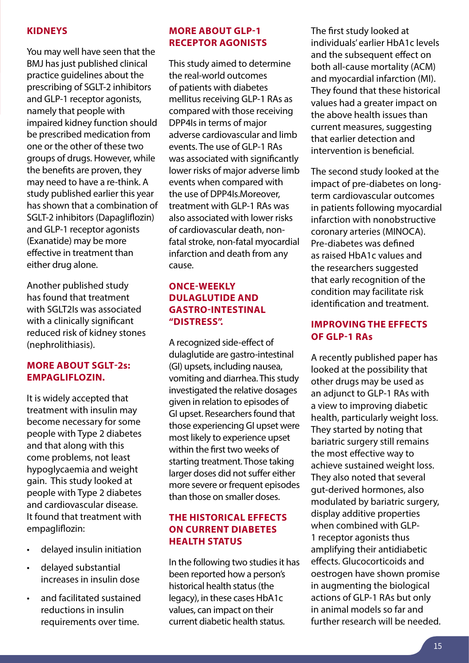#### **KIDNEYS**

You may well have seen that the BMJ has just published clinical practice guidelines about the prescribing of SGLT-2 inhibitors and GLP-1 receptor agonists, namely that people with impaired kidney function should be prescribed medication from one or the other of these two groups of drugs. However, while the benefits are proven, they may need to have a re-think. A study published earlier this year has shown that a combination of SGLT-2 inhibitors (Dapagliflozin) and GLP-1 receptor agonists (Exanatide) may be more effective in treatment than either drug alone.

Another published study has found that treatment with SGLT2Is was associated with a clinically significant reduced risk of kidney stones (nephrolithiasis).

#### **MORE ABOUT SGLT-2s: EMPAGLIFLOZIN.**

It is widely accepted that treatment with insulin may become necessary for some people with Type 2 diabetes and that along with this come problems, not least hypoglycaemia and weight gain. This study looked at people with Type 2 diabetes and cardiovascular disease. It found that treatment with empagliflozin:

- delayed insulin initiation
- delayed substantial increases in insulin dose
- and facilitated sustained reductions in insulin requirements over time.

#### **MORE ABOUT GLP-1 RECEPTOR AGONISTS**

This study aimed to determine the real-world outcomes of patients with diabetes mellitus receiving GLP-1 RAs as compared with those receiving DPP4Is in terms of major adverse cardiovascular and limb events. The use of GLP-1 RAs was associated with significantly lower risks of major adverse limb events when compared with the use of DPP4Is.Moreover, treatment with GLP-1 RAs was also associated with lower risks of cardiovascular death, nonfatal stroke, non-fatal myocardial infarction and death from any cause.

#### **ONCE-WEEKLY DULAGLUTIDE AND GASTRO-INTESTINAL "DISTRESS".**

A recognized side-effect of dulaglutide are gastro-intestinal (GI) upsets, including nausea, vomiting and diarrhea. This study investigated the relative dosages given in relation to episodes of GI upset. Researchers found that those experiencing GI upset were most likely to experience upset within the first two weeks of starting treatment. Those taking larger doses did not suffer either more severe or frequent episodes than those on smaller doses.

#### **THE HISTORICAL EFFECTS ON CURRENT DIABETES HEALTH STATUS**

In the following two studies it has been reported how a person's historical health status (the legacy), in these cases HbA1c values, can impact on their current diabetic health status.

The first study looked at individuals' earlier HbA1c levels and the subsequent effect on both all-cause mortality (ACM) and myocardial infarction (MI). They found that these historical values had a greater impact on the above health issues than current measures, suggesting that earlier detection and intervention is beneficial.

The second study looked at the impact of pre-diabetes on longterm cardiovascular outcomes in patients following myocardial infarction with nonobstructive coronary arteries (MINOCA). Pre-diabetes was defined as raised HbA1c values and the researchers suggested that early recognition of the condition may facilitate risk identification and treatment.

#### **IMPROVING THE EFFECTS OF GLP-1 RAs**

A recently published paper has looked at the possibility that other drugs may be used as an adjunct to GLP-1 RAs with a view to improving diabetic health, particularly weight loss. They started by noting that bariatric surgery still remains the most effective way to achieve sustained weight loss. They also noted that several gut-derived hormones, also modulated by bariatric surgery, display additive properties when combined with GLP-1 receptor agonists thus amplifying their antidiabetic effects. Glucocorticoids and oestrogen have shown promise in augmenting the biological actions of GLP-1 RAs but only in animal models so far and further research will be needed.